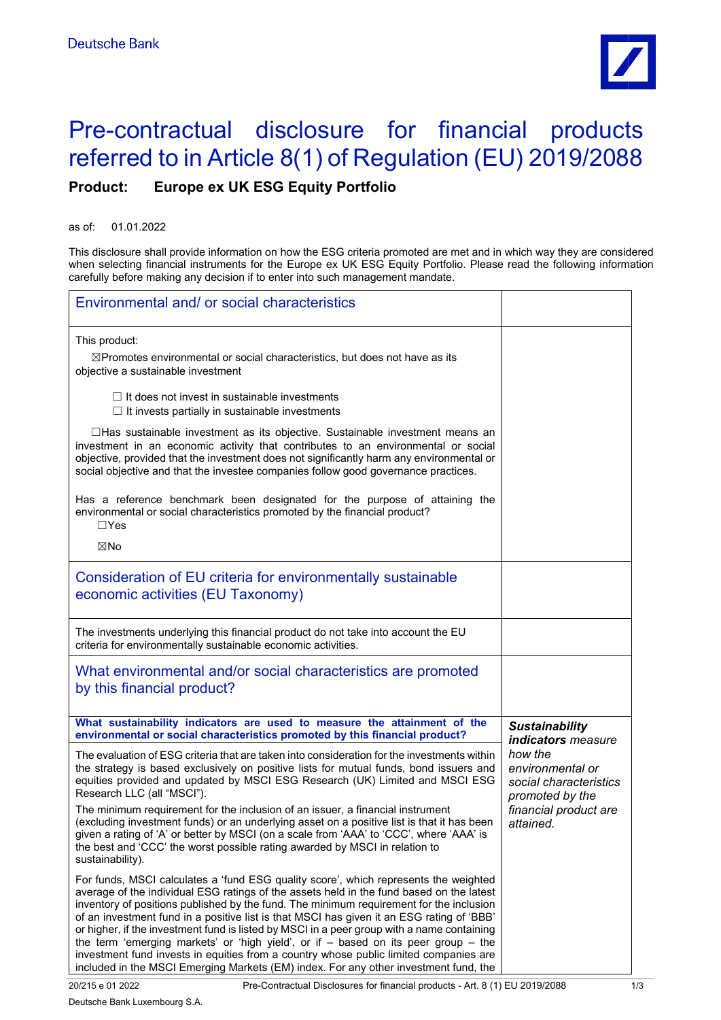

## Pre-contractual disclosure for financial products referred to in Article 8(1) of Regulation (EU) 2019/2088

**Product: Europe ex UK ESG Equity Portfolio**

as of: 01.01.2022

This disclosure shall provide information on how the ESG criteria promoted are met and in which way they are considered when selecting financial instruments for the Europe ex UK ESG Equity Portfolio. Please read the following information carefully before making any decision if to enter into such management mandate.

| Environmental and/ or social characteristics                                                                                                                                                                                                                                                                                                                                                                                                                                                                                                                                                                                                                                                                                                      |                                                                          |
|---------------------------------------------------------------------------------------------------------------------------------------------------------------------------------------------------------------------------------------------------------------------------------------------------------------------------------------------------------------------------------------------------------------------------------------------------------------------------------------------------------------------------------------------------------------------------------------------------------------------------------------------------------------------------------------------------------------------------------------------------|--------------------------------------------------------------------------|
| This product:<br>$\boxtimes$ Promotes environmental or social characteristics, but does not have as its<br>objective a sustainable investment                                                                                                                                                                                                                                                                                                                                                                                                                                                                                                                                                                                                     |                                                                          |
| $\Box$ It does not invest in sustainable investments<br>$\Box$ It invests partially in sustainable investments                                                                                                                                                                                                                                                                                                                                                                                                                                                                                                                                                                                                                                    |                                                                          |
| $\Box$ Has sustainable investment as its objective. Sustainable investment means an<br>investment in an economic activity that contributes to an environmental or social<br>objective, provided that the investment does not significantly harm any environmental or<br>social objective and that the investee companies follow good governance practices.                                                                                                                                                                                                                                                                                                                                                                                        |                                                                          |
| Has a reference benchmark been designated for the purpose of attaining the<br>environmental or social characteristics promoted by the financial product?<br>$\Box$ Yes                                                                                                                                                                                                                                                                                                                                                                                                                                                                                                                                                                            |                                                                          |
| ⊠No                                                                                                                                                                                                                                                                                                                                                                                                                                                                                                                                                                                                                                                                                                                                               |                                                                          |
| Consideration of EU criteria for environmentally sustainable<br>economic activities (EU Taxonomy)                                                                                                                                                                                                                                                                                                                                                                                                                                                                                                                                                                                                                                                 |                                                                          |
| The investments underlying this financial product do not take into account the EU<br>criteria for environmentally sustainable economic activities.                                                                                                                                                                                                                                                                                                                                                                                                                                                                                                                                                                                                |                                                                          |
| What environmental and/or social characteristics are promoted<br>by this financial product?                                                                                                                                                                                                                                                                                                                                                                                                                                                                                                                                                                                                                                                       |                                                                          |
| What sustainability indicators are used to measure the attainment of the<br>environmental or social characteristics promoted by this financial product?                                                                                                                                                                                                                                                                                                                                                                                                                                                                                                                                                                                           | <b>Sustainability</b><br>indicators measure                              |
| The evaluation of ESG criteria that are taken into consideration for the investments within<br>the strategy is based exclusively on positive lists for mutual funds, bond issuers and<br>equities provided and updated by MSCI ESG Research (UK) Limited and MSCI ESG<br>Research LLC (all "MSCI").                                                                                                                                                                                                                                                                                                                                                                                                                                               | how the<br>environmental or<br>social characteristics<br>promoted by the |
| The minimum requirement for the inclusion of an issuer, a financial instrument<br>(excluding investment funds) or an underlying asset on a positive list is that it has been<br>given a rating of 'A' or better by MSCI (on a scale from 'AAA' to 'CCC', where 'AAA' is<br>the best and 'CCC' the worst possible rating awarded by MSCI in relation to<br>sustainability).                                                                                                                                                                                                                                                                                                                                                                        | financial product are<br>attained.                                       |
| For funds, MSCI calculates a 'fund ESG quality score', which represents the weighted<br>average of the individual ESG ratings of the assets held in the fund based on the latest<br>inventory of positions published by the fund. The minimum requirement for the inclusion<br>of an investment fund in a positive list is that MSCI has given it an ESG rating of 'BBB'<br>or higher, if the investment fund is listed by MSCI in a peer group with a name containing<br>the term 'emerging markets' or 'high yield', or if $-$ based on its peer group $-$ the<br>investment fund invests in equities from a country whose public limited companies are<br>included in the MSCI Emerging Markets (EM) index. For any other investment fund, the |                                                                          |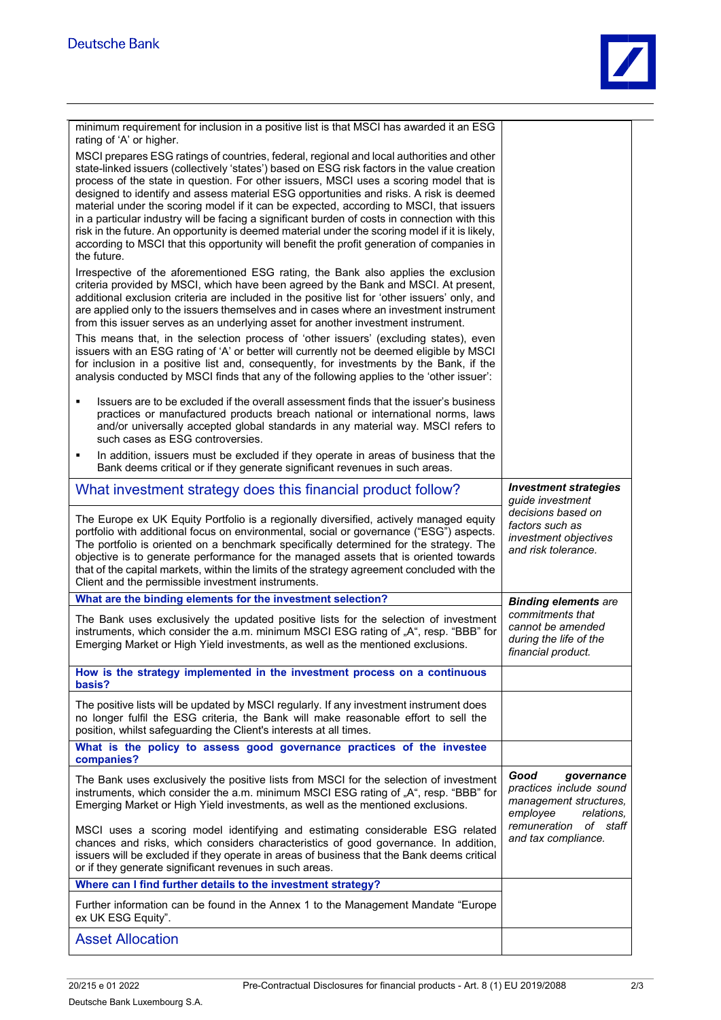

| minimum requirement for inclusion in a positive list is that MSCI has awarded it an ESG<br>rating of 'A' or higher.                                                                                                                                                                                                                                                                                                                                                                                                                                                                                                                                                                                                                                                                      |                                                                                                   |
|------------------------------------------------------------------------------------------------------------------------------------------------------------------------------------------------------------------------------------------------------------------------------------------------------------------------------------------------------------------------------------------------------------------------------------------------------------------------------------------------------------------------------------------------------------------------------------------------------------------------------------------------------------------------------------------------------------------------------------------------------------------------------------------|---------------------------------------------------------------------------------------------------|
| MSCI prepares ESG ratings of countries, federal, regional and local authorities and other<br>state-linked issuers (collectively 'states') based on ESG risk factors in the value creation<br>process of the state in question. For other issuers, MSCI uses a scoring model that is<br>designed to identify and assess material ESG opportunities and risks. A risk is deemed<br>material under the scoring model if it can be expected, according to MSCI, that issuers<br>in a particular industry will be facing a significant burden of costs in connection with this<br>risk in the future. An opportunity is deemed material under the scoring model if it is likely,<br>according to MSCI that this opportunity will benefit the profit generation of companies in<br>the future. |                                                                                                   |
| Irrespective of the aforementioned ESG rating, the Bank also applies the exclusion<br>criteria provided by MSCI, which have been agreed by the Bank and MSCI. At present,<br>additional exclusion criteria are included in the positive list for 'other issuers' only, and<br>are applied only to the issuers themselves and in cases where an investment instrument<br>from this issuer serves as an underlying asset for another investment instrument.                                                                                                                                                                                                                                                                                                                                |                                                                                                   |
| This means that, in the selection process of 'other issuers' (excluding states), even<br>issuers with an ESG rating of 'A' or better will currently not be deemed eligible by MSCI<br>for inclusion in a positive list and, consequently, for investments by the Bank, if the<br>analysis conducted by MSCI finds that any of the following applies to the 'other issuer':                                                                                                                                                                                                                                                                                                                                                                                                               |                                                                                                   |
| Issuers are to be excluded if the overall assessment finds that the issuer's business<br>٠<br>practices or manufactured products breach national or international norms, laws<br>and/or universally accepted global standards in any material way. MSCI refers to<br>such cases as ESG controversies.                                                                                                                                                                                                                                                                                                                                                                                                                                                                                    |                                                                                                   |
| In addition, issuers must be excluded if they operate in areas of business that the<br>٠<br>Bank deems critical or if they generate significant revenues in such areas.                                                                                                                                                                                                                                                                                                                                                                                                                                                                                                                                                                                                                  |                                                                                                   |
| What investment strategy does this financial product follow?                                                                                                                                                                                                                                                                                                                                                                                                                                                                                                                                                                                                                                                                                                                             | <b>Investment strategies</b><br>quide investment                                                  |
| The Europe ex UK Equity Portfolio is a regionally diversified, actively managed equity<br>portfolio with additional focus on environmental, social or governance ("ESG") aspects.<br>The portfolio is oriented on a benchmark specifically determined for the strategy. The<br>objective is to generate performance for the managed assets that is oriented towards<br>that of the capital markets, within the limits of the strategy agreement concluded with the<br>Client and the permissible investment instruments.                                                                                                                                                                                                                                                                 | decisions based on<br>factors such as<br>investment objectives<br>and risk tolerance.             |
| What are the binding elements for the investment selection?                                                                                                                                                                                                                                                                                                                                                                                                                                                                                                                                                                                                                                                                                                                              | <b>Binding elements are</b>                                                                       |
| The Bank uses exclusively the updated positive lists for the selection of investment<br>instruments, which consider the a.m. minimum MSCI ESG rating of "A", resp. "BBB" for<br>Emerging Market or High Yield investments, as well as the mentioned exclusions.                                                                                                                                                                                                                                                                                                                                                                                                                                                                                                                          | commitments that<br>cannot be amended<br>during the life of the<br>financial product.             |
| How is the strategy implemented in the investment process on a continuous<br>basis?                                                                                                                                                                                                                                                                                                                                                                                                                                                                                                                                                                                                                                                                                                      |                                                                                                   |
| The positive lists will be updated by MSCI regularly. If any investment instrument does<br>no longer fulfil the ESG criteria, the Bank will make reasonable effort to sell the<br>position, whilst safeguarding the Client's interests at all times.                                                                                                                                                                                                                                                                                                                                                                                                                                                                                                                                     |                                                                                                   |
| What is the policy to assess good governance practices of the investee<br>companies?                                                                                                                                                                                                                                                                                                                                                                                                                                                                                                                                                                                                                                                                                                     |                                                                                                   |
| The Bank uses exclusively the positive lists from MSCI for the selection of investment<br>instruments, which consider the a.m. minimum MSCI ESG rating of "A", resp. "BBB" for<br>Emerging Market or High Yield investments, as well as the mentioned exclusions.                                                                                                                                                                                                                                                                                                                                                                                                                                                                                                                        | Good<br>governance<br>practices include sound<br>management structures,<br>employee<br>relations. |
| MSCI uses a scoring model identifying and estimating considerable ESG related<br>chances and risks, which considers characteristics of good governance. In addition,<br>issuers will be excluded if they operate in areas of business that the Bank deems critical<br>or if they generate significant revenues in such areas.                                                                                                                                                                                                                                                                                                                                                                                                                                                            | remuneration<br>of staff<br>and tax compliance.                                                   |
| Where can I find further details to the investment strategy?                                                                                                                                                                                                                                                                                                                                                                                                                                                                                                                                                                                                                                                                                                                             |                                                                                                   |
| Further information can be found in the Annex 1 to the Management Mandate "Europe"<br>ex UK ESG Equity".                                                                                                                                                                                                                                                                                                                                                                                                                                                                                                                                                                                                                                                                                 |                                                                                                   |
| <b>Asset Allocation</b>                                                                                                                                                                                                                                                                                                                                                                                                                                                                                                                                                                                                                                                                                                                                                                  |                                                                                                   |